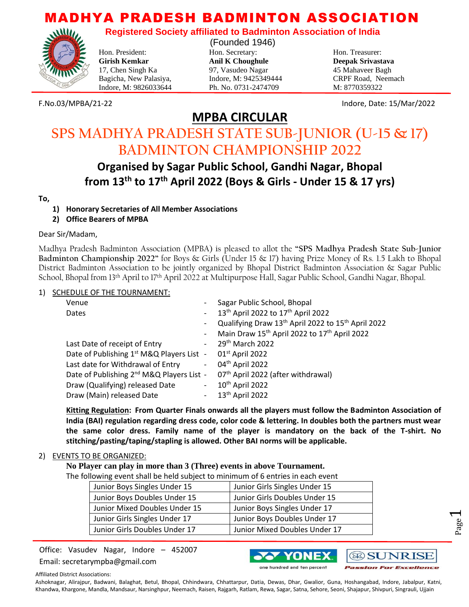

# **Registered Society affiliated to Badminton Association of India**

(Founded 1946) Hon. President: Hon. Secretary: Hon. Treasurer: **Girish Kemkar Anil K Choughule Deepak Srivastava** 17, Chen Singh Ka 97, Vasudeo Nagar 45 Mahaveer Bagh Bagicha, New Palasiya, **Indore, M: 9425349444** CRPF Road, Neemach Indore, M: 9826033644 Ph. No. 0731-2474709 M: 8770359322

F.No.03/MPBA/21-22 Indore, Date: 15/Mar/2022

# **MPBA CIRCULAR SPS MADHYA PRADESH STATE SUB-JUNIOR (U-15 & 17) BADMINTON CHAMPIONSHIP 2022**

# **Organised by Sagar Public School, Gandhi Nagar, Bhopal from 13 th to 17 th April 2022 (Boys & Girls - Under 15 & 17 yrs)**

**To,**

- **1) Honorary Secretaries of All Member Associations**
- **2) Office Bearers of MPBA**

#### Dear Sir/Madam,

Madhya Pradesh Badminton Association (MPBA) is pleased to allot the **"SPS Madhya Pradesh State Sub-Junior Badminton Championship 2022"** for Boys & Girls (Under 15 & 17) having Prize Money of Rs. 1.5 Lakh to Bhopal District Badminton Association to be jointly organized by Bhopal District Badminton Association & Sagar Public School, Bhopal from 13<sup>th</sup> April to 17<sup>th</sup> April 2022 at Multipurpose Hall, Sagar Public School, Gandhi Nagar, Bhopal.

#### 1) SCHEDULE OF THE TOURNAMENT:

| Venue                                                 | Sagar Public School, Bhopal                                                |
|-------------------------------------------------------|----------------------------------------------------------------------------|
| Dates                                                 | 13 <sup>th</sup> April 2022 to 17 <sup>th</sup> April 2022                 |
|                                                       | Qualifying Draw 13 <sup>th</sup> April 2022 to 15 <sup>th</sup> April 2022 |
|                                                       | Main Draw 15 <sup>th</sup> April 2022 to 17 <sup>th</sup> April 2022       |
| Last Date of receipt of Entry                         | 29th March 2022                                                            |
| Date of Publishing 1 <sup>st</sup> M&Q Players List - | $01st$ April 2022                                                          |
| Last date for Withdrawal of Entry                     | - $04th$ April 2022                                                        |
| Date of Publishing 2 <sup>nd</sup> M&Q Players List - | 07 <sup>th</sup> April 2022 (after withdrawal)                             |
| Draw (Qualifying) released Date                       | 10 <sup>th</sup> April 2022                                                |
| Draw (Main) released Date                             | 13 <sup>th</sup> April 2022                                                |

**Kitting Regulation: From Quarter Finals onwards all the players must follow the Badminton Association of India (BAI) regulation regarding dress code, color code & lettering. In doubles both the partners must wear the same color dress. Family name of the player is mandatory on the back of the T-shirt. No stitching/pasting/taping/stapling is allowed. Other BAI norms will be applicable.**

### 2) EVENTS TO BE ORGANIZED:

**No Player can play in more than 3 (Three) events in above Tournament.**

The following event shall be held subject to minimum of 6 entries in each event

| Junior Boys Singles Under 15  | Junior Girls Singles Under 15 |
|-------------------------------|-------------------------------|
| Junior Boys Doubles Under 15  | Junior Girls Doubles Under 15 |
| Junior Mixed Doubles Under 15 | Junior Boys Singles Under 17  |
| Junior Girls Singles Under 17 | Junior Boys Doubles Under 17  |
| Junior Girls Doubles Under 17 | Junior Mixed Doubles Under 17 |
|                               |                               |

Office: Vasudev Nagar, Indore – 452007

Email: secretarympba@gmail.com





Page  $\overline{\phantom{0}}$ 

Affiliated District Associations: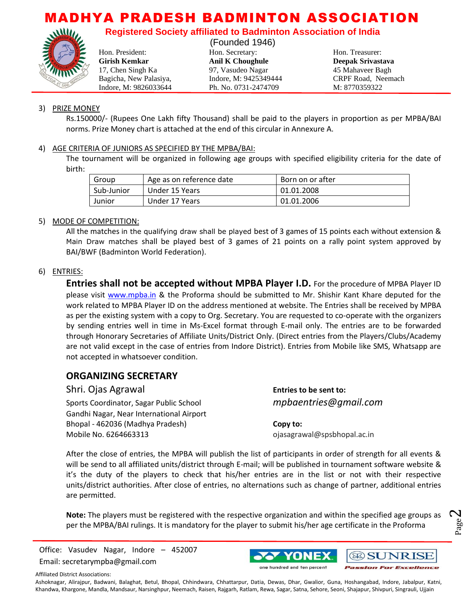# **Registered Society affiliated to Badminton Association of India**



Hon. President: Hon. Secretary: Hon. Treasurer: **Girish Kemkar Anil K Choughule Deepak Srivastava** 17, Chen Singh Ka 97, Vasudeo Nagar 45 Mahaveer Bagh Bagicha, New Palasiya, **Indore, M: 9425349444** CRPF Road, Neemach Indore, M: 9826033644 Ph. No. 0731-2474709 M: 8770359322

(Founded 1946)

# 3) PRIZE MONEY

Rs.150000/- (Rupees One Lakh fifty Thousand) shall be paid to the players in proportion as per MPBA/BAI norms. Prize Money chart is attached at the end of this circular in Annexure A.

# 4) AGE CRITERIA OF JUNIORS AS SPECIFIED BY THE MPBA/BAI:

The tournament will be organized in following age groups with specified eligibility criteria for the date of birth:

| Group      | Age as on reference date | Born on or after |
|------------|--------------------------|------------------|
| Sub-Junior | Under 15 Years           | 01.01.2008       |
| Junior     | Under 17 Years           | 01.01.2006       |

# 5) MODE OF COMPETITION:

All the matches in the qualifying draw shall be played best of 3 games of 15 points each without extension & Main Draw matches shall be played best of 3 games of 21 points on a rally point system approved by BAI/BWF (Badminton World Federation).

# 6) ENTRIES:

**Entries shall not be accepted without MPBA Player I.D.** For the procedure of MPBA Player ID please visit [www.mpba.in](http://www.mpba.in/) & the Proforma should be submitted to Mr. Shishir Kant Khare deputed for the work related to MPBA Player ID on the address mentioned at website. The Entries shall be received by MPBA as per the existing system with a copy to Org. Secretary. You are requested to co-operate with the organizers by sending entries well in time in Ms-Excel format through E-mail only. The entries are to be forwarded through Honorary Secretaries of Affiliate Units/District Only. (Direct entries from the Players/Clubs/Academy are not valid except in the case of entries from Indore District). Entries from Mobile like SMS, Whatsapp are not accepted in whatsoever condition.

# **ORGANIZING SECRETARY**

Shri. Ojas Agrawal **Entries to be sent to:**

Sports Coordinator, Sagar Public School *mpbaentries@gmail.com* Gandhi Nagar, Near International Airport Bhopal - 462036 (Madhya Pradesh) **Copy to:**  Mobile No. 6264663313 ojasagrawal@spsbhopal.ac.in

After the close of entries, the MPBA will publish the list of participants in order of strength for all events & will be send to all affiliated units/district through E-mail; will be published in tournament software website & it's the duty of the players to check that his/her entries are in the list or not with their respective units/district authorities. After close of entries, no alternations such as change of partner, additional entries are permitted.

**Note:** The players must be registered with the respective organization and within the specified age groups as per the MPBA/BAI rulings. It is mandatory for the player to submit his/her age certificate in the Proforma

Office: Vasudev Nagar, Indore – 452007 Email: secretarympba@gmail.com





Page  $\boldsymbol{\sim}$ 

Affiliated District Associations: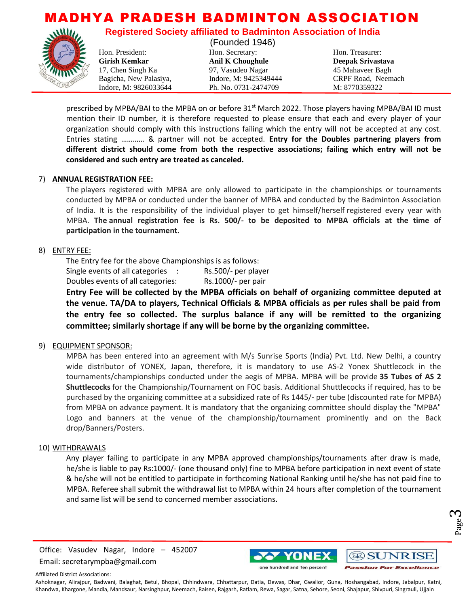# **Registered Society affiliated to Badminton Association of India**



Hon. President: Hon. Secretary: Hon. Treasurer: **Girish Kemkar Anil K Choughule Deepak Srivastava** 17, Chen Singh Ka 97, Vasudeo Nagar 45 Mahaveer Bagh Bagicha, New Palasiya, Indore, M: 9425349444 CRPF Road, Neemach

(Founded 1946) Indore, M: 9826033644 Ph. No. 0731-2474709 M: 8770359322

prescribed by MPBA/BAI to the MPBA on or before 31<sup>st</sup> March 2022. Those players having MPBA/BAI ID must mention their ID number, it is therefore requested to please ensure that each and every player of your organization should comply with this instructions failing which the entry will not be accepted at any cost. Entries stating ………… & partner will not be accepted. **Entry for the Doubles partnering players from different district should come from both the respective associations; failing which entry will not be considered and such entry are treated as canceled.**

### 7) **ANNUAL REGISTRATION FEE:**

The players registered with MPBA are only allowed to participate in the championships or tournaments conducted by MPBA or conducted under the banner of MPBA and conducted by the Badminton Association of India. It is the responsibility of the individual player to get himself/herself registered every year with MPBA. **The annual registration fee is Rs. 500/- to be deposited to MPBA officials at the time of participation in the tournament.**

### 8) ENTRY FEE:

The Entry fee for the above Championships is as follows: Single events of all categories : Rs.500/- per player Doubles events of all categories: Rs.1000/- per pair

**Entry Fee will be collected by the MPBA officials on behalf of organizing committee deputed at the venue. TA/DA to players, Technical Officials & MPBA officials as per rules shall be paid from the entry fee so collected. The surplus balance if any will be remitted to the organizing committee; similarly shortage if any will be borne by the organizing committee.** 

### 9) EQUIPMENT SPONSOR:

MPBA has been entered into an agreement with M/s Sunrise Sports (India) Pvt. Ltd. New Delhi, a country wide distributor of YONEX, Japan, therefore, it is mandatory to use AS-2 Yonex Shuttlecock in the tournaments/championships conducted under the aegis of MPBA. MPBA will be provide **35 Tubes of AS 2 Shuttlecocks** for the Championship/Tournament on FOC basis. Additional Shuttlecocks if required, has to be purchased by the organizing committee at a subsidized rate of Rs 1445/- per tube (discounted rate for MPBA) from MPBA on advance payment. It is mandatory that the organizing committee should display the "MPBA" Logo and banners at the venue of the championship/tournament prominently and on the Back drop/Banners/Posters.

### 10) WITHDRAWALS

Any player failing to participate in any MPBA approved championships/tournaments after draw is made, he/she is liable to pay Rs:1000/- (one thousand only) fine to MPBA before participation in next event of state & he/she will not be entitled to participate in forthcoming National Ranking until he/she has not paid fine to MPBA. Referee shall submit the withdrawal list to MPBA within 24 hours after completion of the tournament and same list will be send to concerned member associations.

> Page ო

Office: Vasudev Nagar, Indore – 452007 Email: secretarympba@gmail.com





Affiliated District Associations: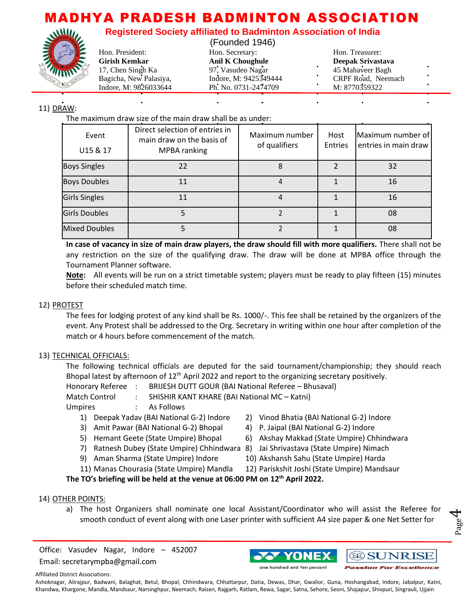# **Registered Society affiliated to Badminton Association of India**



(Founded 1946) Hon. President: Hon. Secretary: Hon. Treasurer: **Girish Kemkar Anil K Choughule Deepak Srivastava** 17, Chen Singh Ka 97, Vasudeo Nagar 45 Mahaveer Bagh Indore, M: 9826033644 Ph. No. 0731-2474709 M: 8770359322

Bagicha, New Palasiya, **Indore, M: 9425349444** CRPF Road, Neemach

# 11) DRAW:

The maximum draw size of the main draw shall be as under:

| Event<br>U15 & 17    | Direct selection of entries in<br>main draw on the basis of<br>MPBA ranking | Maximum number<br>of qualifiers | Host<br><b>Entries</b> | Maximum number of<br>entries in main draw |
|----------------------|-----------------------------------------------------------------------------|---------------------------------|------------------------|-------------------------------------------|
| <b>Boys Singles</b>  | 22                                                                          |                                 |                        | 32                                        |
| <b>Boys Doubles</b>  | 11                                                                          |                                 |                        | 16                                        |
| <b>Girls Singles</b> | 11                                                                          |                                 |                        | 16                                        |
| <b>Girls Doubles</b> |                                                                             |                                 |                        | 08                                        |
| <b>Mixed Doubles</b> |                                                                             |                                 |                        | 08                                        |

**In case of vacancy in size of main draw players, the draw should fill with more qualifiers.** There shall not be any restriction on the size of the qualifying draw. The draw will be done at MPBA office through the Tournament Planner software.

**Note:** All events will be run on a strict timetable system; players must be ready to play fifteen (15) minutes before their scheduled match time.

# 12) PROTEST

The fees for lodging protest of any kind shall be Rs. 1000/-. This fee shall be retained by the organizers of the event. Any Protest shall be addressed to the Org. Secretary in writing within one hour after completion of the match or 4 hours before commencement of the match.

### 13) TECHNICAL OFFICIALS:

The following technical officials are deputed for the said tournament/championship; they should reach Bhopal latest by afternoon of 12<sup>th</sup> April 2022 and report to the organizing secretary positively.

- Honorary Referee : BRIJESH DUTT GOUR (BAI National Referee Bhusaval)
- Match Control : SHISHIR KANT KHARE (BAI National MC Katni) Umpires : As Follows
	- 1) Deepak Yadav (BAI National G-2) Indore 2) Vinod Bhatia (BAI National G-2) Indore
	- 3) Amit Pawar (BAI National G-2) Bhopal 4) P. Jaipal (BAI National G-2) Indore
	-
	- 7) Ratnesh Dubey (State Umpire) Chhindwara 8) Jai Shrivastava (State Umpire) Nimach
	-
- 
- 
- 5) Hemant Geete (State Umpire) Bhopal 6) Akshay Makkad (State Umpire) Chhindwara
	-
- 9) Aman Sharma (State Umpire) Indore 10) Akshansh Sahu (State Umpire) Harda
- 11) Manas Chourasia (State Umpire) Mandla 12) Pariskshit Joshi (State Umpire) Mandsaur

**The TO's briefing will be held at the venue at 06:00 PM on 12 th April 2022.**

### 14) OTHER POINTS:

a) The host Organizers shall nominate one local Assistant/Coordinator who will assist the Referee for smooth conduct of event along with one Laser printer with sufficient A4 size paper & one Net Setter for

Office: Vasudev Nagar, Indore – 452007 Email: secretarympba@gmail.com





Affiliated District Associations:

Ashoknagar, Alirajpur, Badwani, Balaghat, Betul, Bhopal, Chhindwara, Chhattarpur, Datia, Dewas, Dhar, Gwalior, Guna, Hoshangabad, Indore, Jabalpur, Katni, Khandwa, Khargone, Mandla, Mandsaur, Narsinghpur, Neemach, Raisen, Rajgarh, Ratlam, Rewa, Sagar, Satna, Sehore, Seoni, Shajapur, Shivpuri, Singrauli, Ujjain



Page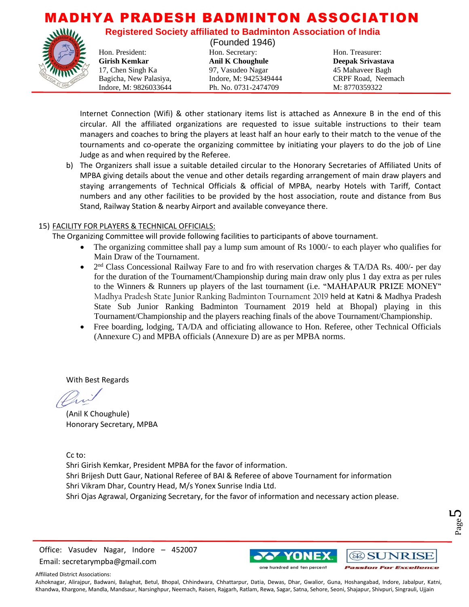# **Registered Society affiliated to Badminton Association of India**



**Girish Kemkar Anil K Choughule Deepak Srivastava** 17, Chen Singh Ka 97, Vasudeo Nagar 45 Mahaveer Bagh Bagicha, New Palasiya, Indore, M: 9425349444 CRPF Road, Neemach Indore, M: 9826033644 Ph. No. 0731-2474709 M: 8770359322

(Founded 1946) Hon. President: Hon. Secretary: Hon. Treasurer:

Internet Connection (Wifi) & other stationary items list is attached as Annexure B in the end of this circular. All the affiliated organizations are requested to issue suitable instructions to their team managers and coaches to bring the players at least half an hour early to their match to the venue of the tournaments and co-operate the organizing committee by initiating your players to do the job of Line Judge as and when required by the Referee.

b) The Organizers shall issue a suitable detailed circular to the Honorary Secretaries of Affiliated Units of MPBA giving details about the venue and other details regarding arrangement of main draw players and staying arrangements of Technical Officials & official of MPBA, nearby Hotels with Tariff, Contact numbers and any other facilities to be provided by the host association, route and distance from Bus Stand, Railway Station & nearby Airport and available conveyance there.

### 15) FACILITY FOR PLAYERS & TECHNICAL OFFICIALS:

The Organizing Committee will provide following facilities to participants of above tournament.

- The organizing committee shall pay a lump sum amount of Rs 1000/- to each player who qualifies for Main Draw of the Tournament.
- $2<sup>nd</sup> Class Concessional Railway Fare to and fro with reservation charges & TA/DA Rs. 400/- per day$ for the duration of the Tournament/Championship during main draw only plus 1 day extra as per rules to the Winners & Runners up players of the last tournament (i.e. **"MAHAPAUR PRIZE MONEY"** Madhya Pradesh State Junior Ranking Badminton Tournament 2019 held at Katni & Madhya Pradesh State Sub Junior Ranking Badminton Tournament 2019 held at Bhopal) playing in this Tournament/Championship and the players reaching finals of the above Tournament/Championship.
- Free boarding, lodging, TA/DA and officiating allowance to Hon. Referee, other Technical Officials (Annexure C) and MPBA officials (Annexure D) are as per MPBA norms.

With Best Regards

(Anil K Choughule) Honorary Secretary, MPBA

Cc to:

Shri Girish Kemkar, President MPBA for the favor of information. Shri Brijesh Dutt Gaur, National Referee of BAI & Referee of above Tournament for information Shri Vikram Dhar, Country Head, M/s Yonex Sunrise India Ltd. Shri Ojas Agrawal, Organizing Secretary, for the favor of information and necessary action please.

> Page ഥ

Office: Vasudev Nagar, Indore – 452007 Email: secretarympba@gmail.com





Affiliated District Associations: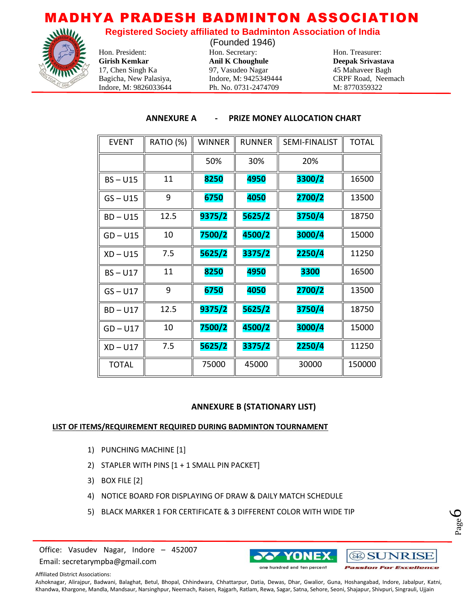# **Registered Society affiliated to Badminton Association of India**



(Founded 1946) Hon. President: Hon. Secretary: Hon. Treasurer: **Girish Kemkar Anil K Choughule Deepak Srivastava** 17, Chen Singh Ka 97, Vasudeo Nagar 45 Mahaveer Bagh Bagicha, New Palasiya, Indore, M: 9425349444 CRPF Road, Neemach

Indore, M: 9826033644 Ph. No. 0731-2474709 M: 8770359322

# **ANNEXURE A - PRIZE MONEY ALLOCATION CHART**

| <b>EVENT</b> | RATIO (%) | <b>WINNER</b> | <b>RUNNER</b> | SEMI-FINALIST | <b>TOTAL</b> |
|--------------|-----------|---------------|---------------|---------------|--------------|
|              |           | 50%           | 30%           | 20%           |              |
| $BS - U15$   | 11        | 8250          | 4950          | 3300/2        | 16500        |
| $GS - U15$   | 9         | 6750          | 4050          | 2700/2        | 13500        |
| $BD - U15$   | 12.5      | 9375/2        | 5625/2        | 3750/4        | 18750        |
| $GD - U15$   | 10        | 7500/2        | 4500/2        | 3000/4        | 15000        |
| $XD - U15$   | 7.5       | 5625/2        | 3375/2        | 2250/4        | 11250        |
| $BS - U17$   | 11        | 8250          | 4950          | 3300          | 16500        |
| $GS - U17$   | 9         | 6750          | 4050          | 2700/2        | 13500        |
| $BD - U17$   | 12.5      | 9375/2        | 5625/2        | 3750/4        | 18750        |
| $GD - U17$   | 10        | 7500/2        | 4500/2        | 3000/4        | 15000        |
| $XD - U17$   | 7.5       | 5625/2        | 3375/2        | 2250/4        | 11250        |
| <b>TOTAL</b> |           | 75000         | 45000         | 30000         | 150000       |

# **ANNEXURE B (STATIONARY LIST)**

### **LIST OF ITEMS/REQUIREMENT REQUIRED DURING BADMINTON TOURNAMENT**

- 1) PUNCHING MACHINE [1]
- 2) STAPLER WITH PINS [1 + 1 SMALL PIN PACKET]
- 3) BOX FILE [2]
- 4) NOTICE BOARD FOR DISPLAYING OF DRAW & DAILY MATCH SCHEDULE
- 5) BLACK MARKER 1 FOR CERTIFICATE & 3 DIFFERENT COLOR WITH WIDE TIP







Page 6

Affiliated District Associations: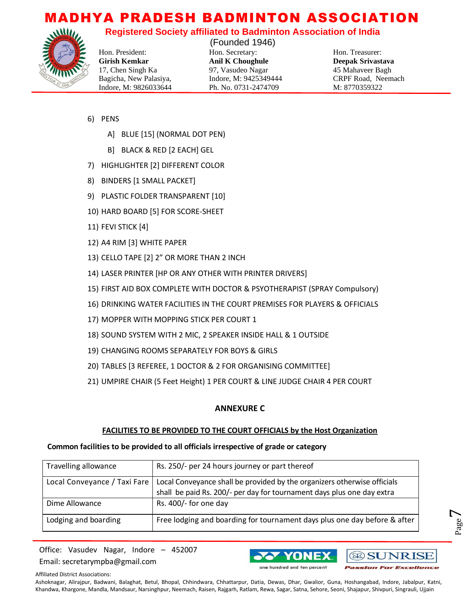**Registered Society affiliated to Badminton Association of India** (Founded 1946)

Hon. President: Hon. Secretary: Hon. Treasurer: **Girish Kemkar Anil K Choughule Deepak Srivastava** 17, Chen Singh Ka 97, Vasudeo Nagar 45 Mahaveer Bagh Bagicha, New Palasiya, Indore, M: 9425349444 CRPF Road, Neemach Indore, M: 9826033644 Ph. No. 0731-2474709 M: 8770359322

- 6) PENS
	- A] BLUE [15] (NORMAL DOT PEN)
	- B] BLACK & RED [2 EACH] GEL
- 7) HIGHLIGHTER [2] DIFFERENT COLOR
- 8) BINDERS [1 SMALL PACKET]
- 9) PLASTIC FOLDER TRANSPARENT [10]
- 10) HARD BOARD [5] FOR SCORE-SHEET
- 11) FEVI STICK [4]
- 12) A4 RIM [3] WHITE PAPER
- 13) CELLO TAPE [2] 2" OR MORE THAN 2 INCH
- 14) LASER PRINTER [HP OR ANY OTHER WITH PRINTER DRIVERS]
- 15) FIRST AID BOX COMPLETE WITH DOCTOR & PSYOTHERAPIST (SPRAY Compulsory)
- 16) DRINKING WATER FACILITIES IN THE COURT PREMISES FOR PLAYERS & OFFICIALS
- 17) MOPPER WITH MOPPING STICK PER COURT 1
- 18) SOUND SYSTEM WITH 2 MIC, 2 SPEAKER INSIDE HALL & 1 OUTSIDE
- 19) CHANGING ROOMS SEPARATELY FOR BOYS & GIRLS
- 20) TABLES [3 REFEREE, 1 DOCTOR & 2 FOR ORGANISING COMMITTEE]
- 21) UMPIRE CHAIR (5 Feet Height) 1 PER COURT & LINE JUDGE CHAIR 4 PER COURT

# **ANNEXURE C**

### **FACILITIES TO BE PROVIDED TO THE COURT OFFICIALS by the Host Organization**

# **Common facilities to be provided to all officials irrespective of grade or category**

| Travelling allowance         | Rs. 250/- per 24 hours journey or part thereof                                                                                                     |
|------------------------------|----------------------------------------------------------------------------------------------------------------------------------------------------|
| Local Conveyance / Taxi Fare | Local Conveyance shall be provided by the organizers otherwise officials<br>shall be paid Rs. 200/- per day for tournament days plus one day extra |
| Dime Allowance               | Rs. 400/- for one day                                                                                                                              |
| Lodging and boarding         | Free lodging and boarding for tournament days plus one day before & after                                                                          |

Office: Vasudev Nagar, Indore – 452007

Email: secretarympba@gmail.com





Page  $\blacktriangleright$ 

Affiliated District Associations: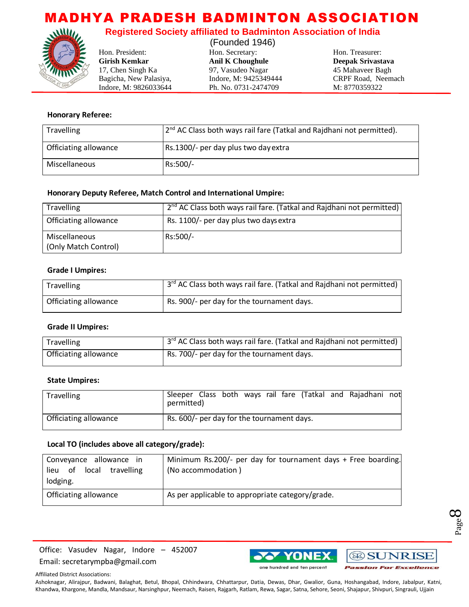# **Registered Society affiliated to Badminton Association of India**



(Founded 1946) Hon. President: Hon. Secretary: Hon. Treasurer: **Girish Kemkar Anil K Choughule Deepak Srivastava** 17, Chen Singh Ka 97, Vasudeo Nagar 45 Mahaveer Bagh Bagicha, New Palasiya, Indore, M: 9425349444 CRPF Road, Neemach

Indore, M: 9826033644 Ph. No. 0731-2474709 M: 8770359322

### **Honorary Referee:**

| Travelling            | 2 <sup>nd</sup> AC Class both ways rail fare (Tatkal and Rajdhani not permitted). |
|-----------------------|-----------------------------------------------------------------------------------|
| Officiating allowance | Rs.1300/- per day plus two day extra                                              |
| Miscellaneous         | Rs:500/-                                                                          |

#### **Honorary Deputy Referee, Match Control and International Umpire:**

| Travelling                            | 2 <sup>nd</sup> AC Class both ways rail fare. (Tatkal and Rajdhani not permitted) |
|---------------------------------------|-----------------------------------------------------------------------------------|
| Officiating allowance                 | Rs. 1100/- per day plus two days extra                                            |
| Miscellaneous<br>(Only Match Control) | Rs:500/-                                                                          |

#### **Grade I Umpires:**

| Travelling            | 3rd AC Class both ways rail fare. (Tatkal and Rajdhani not permitted) |
|-----------------------|-----------------------------------------------------------------------|
| Officiating allowance | Rs. 900/- per day for the tournament days.                            |

#### **Grade II Umpires:**

| <b>Travelling</b>     | 13 <sup>rd</sup> AC Class both ways rail fare. (Tatkal and Rajdhani not permitted) |
|-----------------------|------------------------------------------------------------------------------------|
| Officiating allowance | Rs. 700/- per day for the tournament days.                                         |

#### **State Umpires:**

| <b>Travelling</b>     | Sleeper Class both ways rail fare (Tatkal and Rajadhani not<br>permitted) |
|-----------------------|---------------------------------------------------------------------------|
| Officiating allowance | Rs. 600/- per day for the tournament days.                                |

### **Local TO (includes above all category/grade):**

| Conveyance allowance in<br>local<br>lieu<br>travelling<br>_of<br>lodging. | Minimum Rs.200/- per day for tournament days + Free boarding.<br>(No accommodation) |
|---------------------------------------------------------------------------|-------------------------------------------------------------------------------------|
| Officiating allowance                                                     | As per applicable to appropriate category/grade.                                    |

Office: Vasudev Nagar, Indore – 452007 Email: secretarympba@gmail.com





Page  $\infty$ 

Affiliated District Associations: